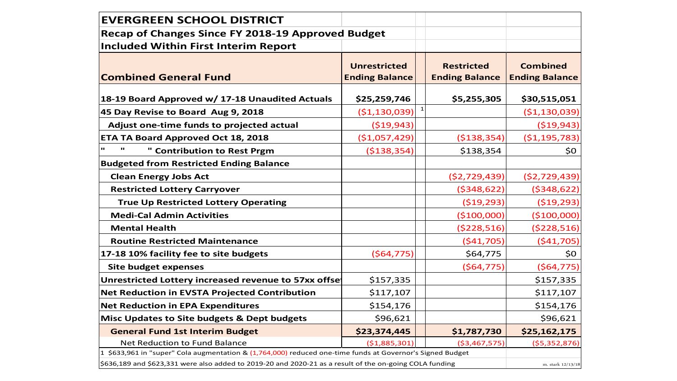| <b>EVERGREEN SCHOOL DISTRICT</b>                                                                          |                                                                                            |              |                                          |                |  |
|-----------------------------------------------------------------------------------------------------------|--------------------------------------------------------------------------------------------|--------------|------------------------------------------|----------------|--|
| Recap of Changes Since FY 2018-19 Approved Budget                                                         |                                                                                            |              |                                          |                |  |
| Included Within First Interim Report                                                                      |                                                                                            |              |                                          |                |  |
| <b>Combined General Fund</b>                                                                              | <b>Unrestricted</b><br><b>Restricted</b><br><b>Ending Balance</b><br><b>Ending Balance</b> |              | <b>Combined</b><br><b>Ending Balance</b> |                |  |
| 18-19 Board Approved w/ 17-18 Unaudited Actuals                                                           | \$25,259,746                                                                               |              | \$5,255,305                              | \$30,515,051   |  |
| 45 Day Revise to Board Aug 9, 2018                                                                        | ( \$1,130,039)                                                                             | $\mathbf{1}$ |                                          | ( \$1,130,039) |  |
| Adjust one-time funds to projected actual                                                                 | ( \$19, 943)                                                                               |              |                                          | ( \$19, 943)   |  |
| <b>ETA TA Board Approved Oct 18, 2018</b>                                                                 | (\$1,057,429)                                                                              |              | ( \$138, 354)                            | ( \$1,195,783) |  |
| " Contribution to Rest Prgm                                                                               | ( \$138, 354)                                                                              |              | \$138,354                                | \$0            |  |
| <b>Budgeted from Restricted Ending Balance</b>                                                            |                                                                                            |              |                                          |                |  |
| <b>Clean Energy Jobs Act</b>                                                                              |                                                                                            |              | (52, 729, 439)                           | ( \$2,729,439) |  |
| <b>Restricted Lottery Carryover</b>                                                                       |                                                                                            |              | (5348, 622)                              | ( \$348, 622]  |  |
| <b>True Up Restricted Lottery Operating</b>                                                               |                                                                                            |              | ( \$19, 293)                             | ( \$19, 293)   |  |
| <b>Medi-Cal Admin Activities</b>                                                                          |                                                                                            |              | (\$100,000)                              | (\$100,000)    |  |
| <b>Mental Health</b>                                                                                      |                                                                                            |              | ( \$228, 516)                            | ( \$228,516)   |  |
| <b>Routine Restricted Maintenance</b>                                                                     |                                                                                            |              | (541,705)                                | (541,705)      |  |
| 17-18 10% facility fee to site budgets                                                                    | (564, 775)                                                                                 |              | \$64,775                                 | \$0            |  |
| <b>Site budget expenses</b>                                                                               |                                                                                            |              | (564, 775)                               | (564, 775)     |  |
| Unrestricted Lottery increased revenue to 57xx offse                                                      | \$157,335                                                                                  |              |                                          | \$157,335      |  |
| Net Reduction in EVSTA Projected Contribution                                                             | \$117,107                                                                                  |              |                                          | \$117,107      |  |
| <b>Net Reduction in EPA Expenditures</b>                                                                  | \$154,176                                                                                  |              |                                          | \$154,176      |  |
| Misc Updates to Site budgets & Dept budgets                                                               | \$96,621                                                                                   |              |                                          | \$96,621       |  |
| <b>General Fund 1st Interim Budget</b>                                                                    | \$23,374,445                                                                               |              | \$1,787,730                              | \$25,162,175   |  |
| Net Reduction to Fund Balance                                                                             | (\$1,885,301)                                                                              |              | ( \$3,467,575)                           | ( \$5,352,876) |  |
| 1 \$633,961 in "super" Cola augmentation & (1,764,000) reduced one-time funds at Governor's Signed Budget |                                                                                            |              |                                          |                |  |
| \$636,189 and \$623,331 were also added to 2019-20 and 2020-21 as a result of the on-going COLA funding   |                                                                                            |              |                                          |                |  |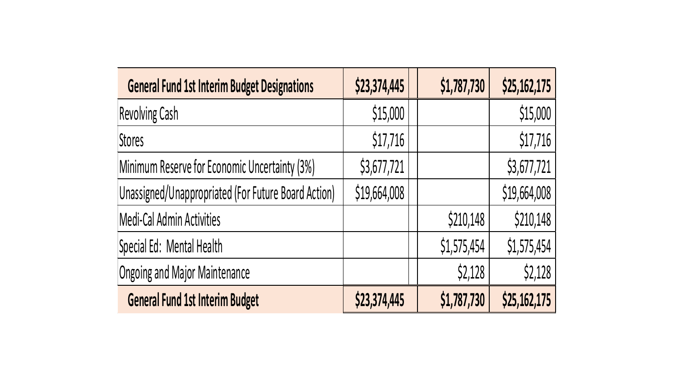| <b>General Fund 1st Interim Budget Designations</b> | \$23,374,445 | \$1,787,730 | \$25,162,175 |
|-----------------------------------------------------|--------------|-------------|--------------|
| <b>Revolving Cash</b>                               | \$15,000     |             | \$15,000     |
| <b>Stores</b>                                       | \$17,716     |             | \$17,716     |
| Minimum Reserve for Economic Uncertainty (3%)       | \$3,677,721  |             | \$3,677,721  |
| Unassigned/Unappropriated (For Future Board Action) | \$19,664,008 |             | \$19,664,008 |
| Medi-Cal Admin Activities                           |              | \$210,148   | \$210,148    |
| Special Ed: Mental Health                           |              | \$1,575,454 | \$1,575,454  |
| <b>Ongoing and Major Maintenance</b>                |              | \$2,128     | \$2,128      |
| <b>General Fund 1st Interim Budget</b>              | \$23,374,445 | \$1,787,730 | \$25,162,175 |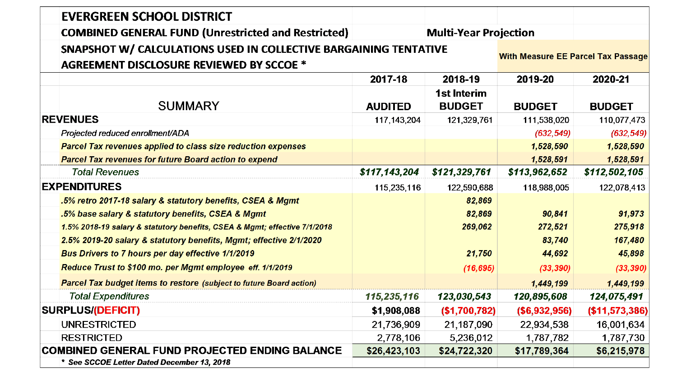| <b>EVERGREEN SCHOOL DISTRICT</b>                                                                                    |                              |                                           |                |                |  |
|---------------------------------------------------------------------------------------------------------------------|------------------------------|-------------------------------------------|----------------|----------------|--|
| <b>COMBINED GENERAL FUND (Unrestricted and Restricted)</b>                                                          | <b>Multi-Year Projection</b> |                                           |                |                |  |
| SNAPSHOT W/ CALCULATIONS USED IN COLLECTIVE BARGAINING TENTATIVE<br><b>AGREEMENT DISCLOSURE REVIEWED BY SCCOE *</b> |                              | <b>With Measure EE Parcel Tax Passage</b> |                |                |  |
|                                                                                                                     | 2017-18<br>2018-19           |                                           |                | 2020-21        |  |
| <b>SUMMARY</b>                                                                                                      | <b>AUDITED</b>               | <b>1st Interim</b><br><b>BUDGET</b>       | <b>BUDGET</b>  | <b>BUDGET</b>  |  |
| <b>REVENUES</b>                                                                                                     | 117, 143, 204                | 121,329,761                               | 111,538,020    | 110,077,473    |  |
| Projected reduced enrollment/ADA                                                                                    |                              |                                           | (632, 549)     | (632, 549)     |  |
| <b>Parcel Tax revenues applied to class size reduction expenses</b>                                                 |                              |                                           | 1,528,590      | 1,528,590      |  |
| <b>Parcel Tax revenues for future Board action to expend</b>                                                        |                              |                                           | 1,528,591      | 1,528,591      |  |
| <b>Total Revenues</b>                                                                                               | \$117,143,204                | \$121,329,761                             | \$113,962,652  | \$112,502,105  |  |
| <b>EXPENDITURES</b>                                                                                                 | 115,235,116                  | 122,590,688                               | 118,988,005    | 122,078,413    |  |
| .5% retro 2017-18 salary & statutory benefits, CSEA & Mgmt                                                          |                              | 82,869                                    |                |                |  |
| .5% base salary & statutory benefits, CSEA & Mgmt                                                                   |                              | 82,869                                    | 90,841         | 91,973         |  |
| 1.5% 2018-19 salary & statutory benefits, CSEA & Mgmt; effective 7/1/2018                                           |                              | 269,062                                   | 272,521        | 275,918        |  |
| 2.5% 2019-20 salary & statutory benefits, Mgmt; effective 2/1/2020                                                  |                              |                                           | 83,740         | 167,480        |  |
| Bus Drivers to 7 hours per day effective 1/1/2019                                                                   |                              | 21,750                                    | 44,692         | 45,898         |  |
| Reduce Trust to \$100 mo. per Mgmt employee eff. 1/1/2019                                                           |                              | (16, 695)                                 | (33, 390)      | (33, 390)      |  |
| <b>Parcel Tax budget items to restore (subject to future Board action)</b>                                          |                              |                                           | 1,449,199      | 1,449,199      |  |
| <b>Total Expenditures</b>                                                                                           | 115,235,116                  | 123,030,543                               | 120,895,608    | 124,075,491    |  |
| <b>SURPLUS/(DEFICIT)</b>                                                                                            | \$1,908,088                  | (\$1,700,782)                             | ( \$6,932,956) | (\$11,573,386) |  |
| <b>UNRESTRICTED</b>                                                                                                 | 21,736,909                   | 21,187,090                                | 22,934,538     | 16,001,634     |  |
| <b>RESTRICTED</b>                                                                                                   | 2,778,106                    | 5,236,012                                 | 1,787,782      | 1,787,730      |  |
| <b>COMBINED GENERAL FUND PROJECTED ENDING BALANCE</b>                                                               | \$26,423,103                 | \$24,722,320                              | \$17,789,364   | \$6,215,978    |  |
| * See SCCOE Letter Dated December 13, 2018                                                                          |                              |                                           |                |                |  |